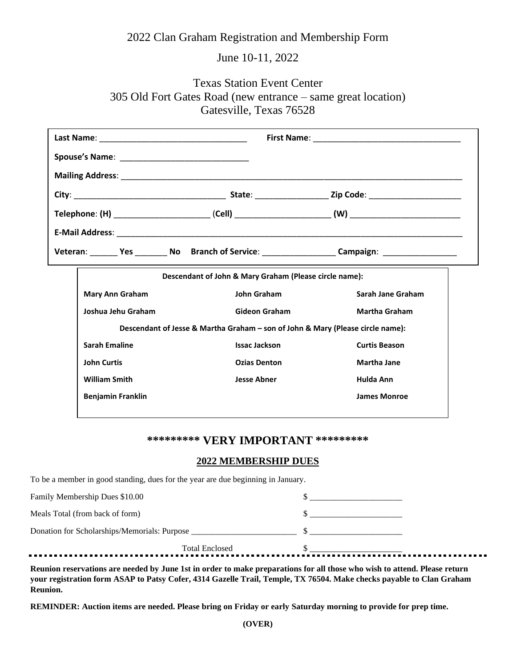## 2022 Clan Graham Registration and Membership Form

# June 10-11, 2022

# Texas Station Event Center 305 Old Fort Gates Road (new entrance – same great location) Gatesville, Texas 76528

| Descendant of John & Mary Graham (Please circle name):                         |                      |                      |  |
|--------------------------------------------------------------------------------|----------------------|----------------------|--|
| Mary Ann Graham                                                                | John Graham          | Sarah Jane Graham    |  |
| Joshua Jehu Graham                                                             | <b>Gideon Graham</b> | <b>Martha Graham</b> |  |
| Descendant of Jesse & Martha Graham - son of John & Mary (Please circle name): |                      |                      |  |
| <b>Sarah Emaline</b>                                                           | <b>Issac Jackson</b> | <b>Curtis Beason</b> |  |
| <b>John Curtis</b>                                                             | <b>Ozias Denton</b>  | <b>Martha Jane</b>   |  |
| <b>William Smith</b>                                                           | <b>Jesse Abner</b>   | Hulda Ann            |  |
| <b>Benjamin Franklin</b>                                                       |                      | <b>James Monroe</b>  |  |

## **\*\*\*\*\*\*\*\*\* VERY IMPORTANT \*\*\*\*\*\*\*\*\***

#### **2022 MEMBERSHIP DUES**

To be a member in good standing, dues for the year are due beginning in January.

| <b>Total Enclosed</b>                        |  |
|----------------------------------------------|--|
| Donation for Scholarships/Memorials: Purpose |  |
| Meals Total (from back of form)              |  |
| Family Membership Dues \$10.00               |  |

**Reunion reservations are needed by June 1st in order to make preparations for all those who wish to attend. Please return your registration form ASAP to Patsy Cofer, 4314 Gazelle Trail, Temple, TX 76504. Make checks payable to Clan Graham Reunion.**

**REMINDER: Auction items are needed. Please bring on Friday or early Saturday morning to provide for prep time.**